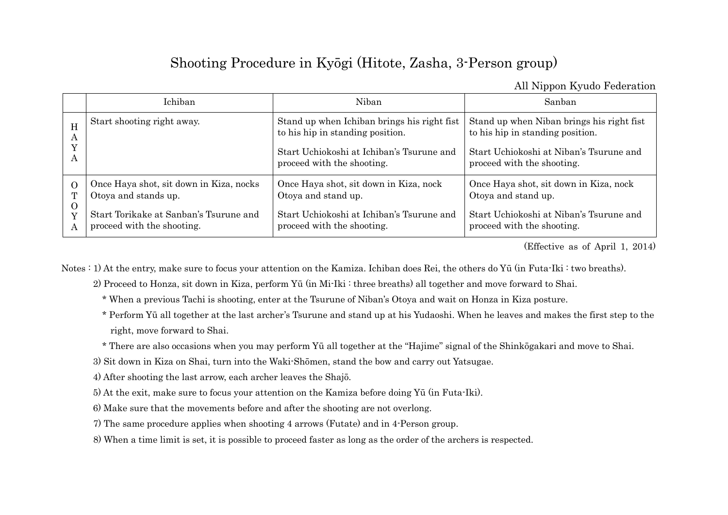## Shooting Procedure in Kyōgi (Hitote, Zasha, 3-Person group)

All Nippon Kyudo Federation

|                                | Ichiban                                                                                                                                 | Niban                                                                                                                                                      | Sanhan                                                                                                                                                 |
|--------------------------------|-----------------------------------------------------------------------------------------------------------------------------------------|------------------------------------------------------------------------------------------------------------------------------------------------------------|--------------------------------------------------------------------------------------------------------------------------------------------------------|
| H<br>А<br>A                    | Start shooting right away.                                                                                                              | Stand up when Ichiban brings his right fist<br>to his hip in standing position.<br>Start Uchiokoshi at Ichiban's Tsurune and<br>proceed with the shooting. | Stand up when Niban brings his right fist<br>to his hip in standing position.<br>Start Uchiokoshi at Niban's Tsurune and<br>proceed with the shooting. |
| $\Omega$<br>T<br>$\Omega$<br>Y | Once Haya shot, sit down in Kiza, nocks<br>Otoya and stands up.<br>Start Torikake at Sanban's Tsurune and<br>proceed with the shooting. | Once Haya shot, sit down in Kiza, nock<br>Otoya and stand up.<br>Start Uchiokoshi at Ichiban's Tsurune and<br>proceed with the shooting.                   | Once Haya shot, sit down in Kiza, nock<br>Otoya and stand up.<br>Start Uchiokoshi at Niban's Tsurune and<br>proceed with the shooting.                 |

(Effective as of April 1, 2014)

Notes : 1) At the entry, make sure to focus your attention on the Kamiza. Ichiban does Rei, the others do Yū (in Futa-Iki : two breaths).

2) Proceed to Honza, sit down in Kiza, perform Yū (in Mi-Iki : three breaths) all together and move forward to Shai.

\* When a previous Tachi is shooting, enter at the Tsurune of Niban's Otoya and wait on Honza in Kiza posture.

 \* Perform Yū all together at the last archer's Tsurune and stand up at his Yudaoshi. When he leaves and makes the first step to the right, move forward to Shai.

\* There are also occasions when you may perform Yū all together at the "Hajime" signal of the Shinkōgakari and move to Shai.

3) Sit down in Kiza on Shai, turn into the Waki-Shōmen, stand the bow and carry out Yatsugae.

4) After shooting the last arrow, each archer leaves the Shajō.

5) At the exit, make sure to focus your attention on the Kamiza before doing Yū (in Futa-Iki).

6) Make sure that the movements before and after the shooting are not overlong.

7) The same procedure applies when shooting 4 arrows (Futate) and in 4-Person group.

8) When a time limit is set, it is possible to proceed faster as long as the order of the archers is respected.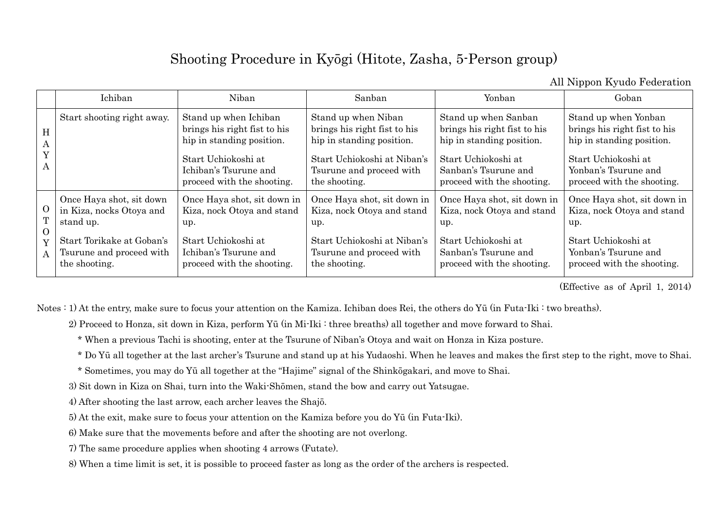## Shooting Procedure in Kyōgi (Hitote, Zasha, 5-Person group)

All Nippon Kyudo Federation

|                                      | Ichiban                                                                                                                                     | Niban                                                                                                                                                            | Sanban                                                                                                                                                       | Yonban                                                                                                                                                         | Goban                                                                                                                                                          |
|--------------------------------------|---------------------------------------------------------------------------------------------------------------------------------------------|------------------------------------------------------------------------------------------------------------------------------------------------------------------|--------------------------------------------------------------------------------------------------------------------------------------------------------------|----------------------------------------------------------------------------------------------------------------------------------------------------------------|----------------------------------------------------------------------------------------------------------------------------------------------------------------|
| H<br>A<br>$\mathbf{v}$<br>А          | Start shooting right away.                                                                                                                  | Stand up when Ichiban<br>brings his right fist to his<br>hip in standing position.<br>Start Uchiokoshi at<br>Ichiban's Tsurune and<br>proceed with the shooting. | Stand up when Niban<br>brings his right fist to his<br>hip in standing position.<br>Start Uchiokoshi at Niban's<br>Tsurune and proceed with<br>the shooting. | Stand up when Sanban<br>brings his right fist to his<br>hip in standing position.<br>Start Uchiokoshi at<br>Sanban's Tsurune and<br>proceed with the shooting. | Stand up when Yonban<br>brings his right fist to his<br>hip in standing position.<br>Start Uchiokoshi at<br>Yonban's Tsurune and<br>proceed with the shooting. |
| $\Omega$<br>$\Omega$<br>$\mathbf{A}$ | Once Haya shot, sit down<br>in Kiza, nocks Otoya and<br>stand up.<br>Start Torikake at Goban's<br>Tsurune and proceed with<br>the shooting. | Once Haya shot, sit down in<br>Kiza, nock Otoya and stand<br>up.<br>Start Uchiokoshi at<br>Ichiban's Tsurune and<br>proceed with the shooting.                   | Once Haya shot, sit down in<br>Kiza, nock Otoya and stand<br>up.<br>Start Uchiokoshi at Niban's<br>Tsurune and proceed with<br>the shooting.                 | Once Haya shot, sit down in<br>Kiza, nock Otoya and stand<br>up.<br>Start Uchiokoshi at<br>Sanban's Tsurune and<br>proceed with the shooting.                  | Once Haya shot, sit down in<br>Kiza, nock Otoya and stand<br>up.<br>Start Uchiokoshi at<br>Yonban's Tsurune and<br>proceed with the shooting.                  |

(Effective as of April 1, 2014)

Notes : 1) At the entry, make sure to focus your attention on the Kamiza. Ichiban does Rei, the others do Yū (in Futa-Iki : two breaths).

2) Proceed to Honza, sit down in Kiza, perform Yū (in Mi-Iki : three breaths) all together and move forward to Shai.

\* When a previous Tachi is shooting, enter at the Tsurune of Niban's Otoya and wait on Honza in Kiza posture.

\* Do Yū all together at the last archer's Tsurune and stand up at his Yudaoshi. When he leaves and makes the first step to the right, move to Shai.

\* Sometimes, you may do Yū all together at the "Hajime" signal of the Shinkōgakari, and move to Shai.

3) Sit down in Kiza on Shai, turn into the Waki-Shōmen, stand the bow and carry out Yatsugae.

4) After shooting the last arrow, each archer leaves the Shajō.

5) At the exit, make sure to focus your attention on the Kamiza before you do Yū (in Futa-Iki).

6) Make sure that the movements before and after the shooting are not overlong.

7) The same procedure applies when shooting 4 arrows (Futate).

8) When a time limit is set, it is possible to proceed faster as long as the order of the archers is respected.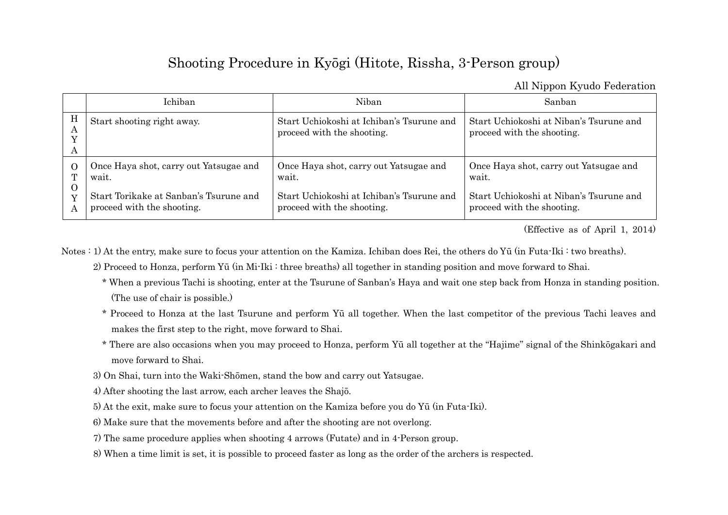## Shooting Procedure in Kyōgi (Hitote, Rissha, 3-Person group)

All Nippon Kyudo Federation

|              | Ichiban                                | Niban                                                                   | Sanban                                                                |
|--------------|----------------------------------------|-------------------------------------------------------------------------|-----------------------------------------------------------------------|
| H<br>А<br>A  | Start shooting right away.             | Start Uchiokoshi at Ichiban's Tsurune and<br>proceed with the shooting. | Start Uchiokoshi at Niban's Tsurune and<br>proceed with the shooting. |
| O            | Once Haya shot, carry out Yatsugae and | Once Haya shot, carry out Yatsugae and                                  | Once Haya shot, carry out Yatsugae and                                |
| $\mathbf{T}$ | wait.                                  | wait.                                                                   | wait.                                                                 |
| Ő            | Start Torikake at Sanban's Tsurune and | Start Uchiokoshi at Ichiban's Tsurune and                               | Start Uchiokoshi at Niban's Tsurune and                               |
| Y            | proceed with the shooting.             | proceed with the shooting.                                              | proceed with the shooting.                                            |

(Effective as of April 1, 2014)

Notes : 1) At the entry, make sure to focus your attention on the Kamiza. Ichiban does Rei, the others do Yū (in Futa-Iki : two breaths).

2) Proceed to Honza, perform Yū (in Mi-Iki : three breaths) all together in standing position and move forward to Shai.

- \* When a previous Tachi is shooting, enter at the Tsurune of Sanban's Haya and wait one step back from Honza in standing position. (The use of chair is possible.)
- \* Proceed to Honza at the last Tsurune and perform Yū all together. When the last competitor of the previous Tachi leaves and makes the first step to the right, move forward to Shai.
- \* There are also occasions when you may proceed to Honza, perform Yū all together at the "Hajime" signal of the Shinkōgakari and move forward to Shai.
- 3) On Shai, turn into the Waki-Shōmen, stand the bow and carry out Yatsugae.
- 4) After shooting the last arrow, each archer leaves the Shajō.
- 5) At the exit, make sure to focus your attention on the Kamiza before you do Yū (in Futa-Iki).
- 6) Make sure that the movements before and after the shooting are not overlong.
- 7) The same procedure applies when shooting 4 arrows (Futate) and in 4-Person group.
- 8) When a time limit is set, it is possible to proceed faster as long as the order of the archers is respected.